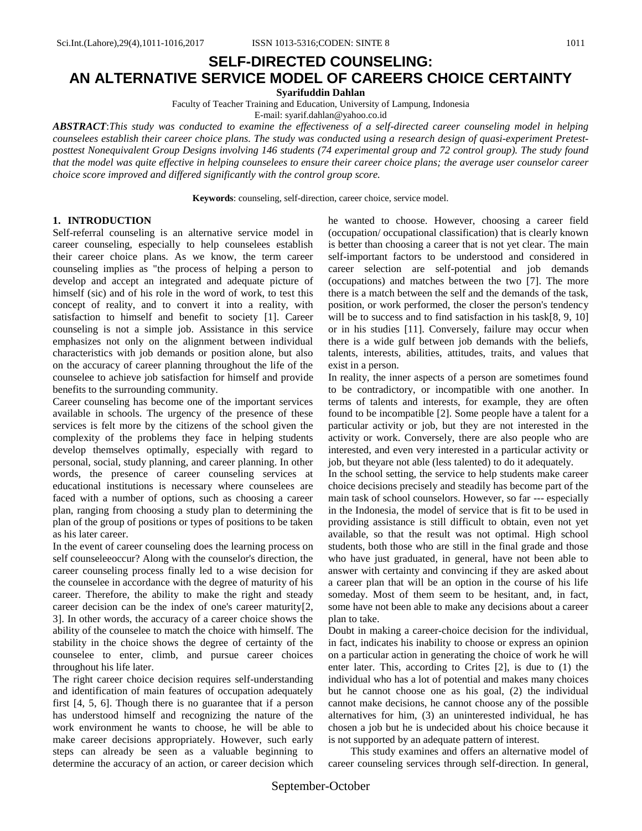**Syarifuddin Dahlan**

Faculty of Teacher Training and Education, University of Lampung, Indonesia

E-mail: syarif.dahlan@yahoo.co.id

*ABSTRACT*:*This study was conducted to examine the effectiveness of a self-directed career counseling model in helping counselees establish their career choice plans. The study was conducted using a research design of quasi-experiment Pretestposttest Nonequivalent Group Designs involving 146 students (74 experimental group and 72 control group). The study found that the model was quite effective in helping counselees to ensure their career choice plans; the average user counselor career choice score improved and differed significantly with the control group score.*

**Keywords**: counseling, self-direction, career choice, service model.

### **1. INTRODUCTION**

Self-referral counseling is an alternative service model in career counseling, especially to help counselees establish their career choice plans. As we know, the term career counseling implies as "the process of helping a person to develop and accept an integrated and adequate picture of himself (sic) and of his role in the word of work, to test this concept of reality, and to convert it into a reality, with satisfaction to himself and benefit to society [1]. Career counseling is not a simple job. Assistance in this service emphasizes not only on the alignment between individual characteristics with job demands or position alone, but also on the accuracy of career planning throughout the life of the counselee to achieve job satisfaction for himself and provide benefits to the surrounding community.

Career counseling has become one of the important services available in schools. The urgency of the presence of these services is felt more by the citizens of the school given the complexity of the problems they face in helping students develop themselves optimally, especially with regard to personal, social, study planning, and career planning. In other words, the presence of career counseling services at educational institutions is necessary where counselees are faced with a number of options, such as choosing a career plan, ranging from choosing a study plan to determining the plan of the group of positions or types of positions to be taken as his later career.

In the event of career counseling does the learning process on self counseleeoccur? Along with the counselor's direction, the career counseling process finally led to a wise decision for the counselee in accordance with the degree of maturity of his career. Therefore, the ability to make the right and steady career decision can be the index of one's career maturity[2, 3]. In other words, the accuracy of a career choice shows the ability of the counselee to match the choice with himself. The stability in the choice shows the degree of certainty of the counselee to enter, climb, and pursue career choices throughout his life later.

The right career choice decision requires self-understanding and identification of main features of occupation adequately first [4, 5, 6]. Though there is no guarantee that if a person has understood himself and recognizing the nature of the work environment he wants to choose, he will be able to make career decisions appropriately. However, such early steps can already be seen as a valuable beginning to determine the accuracy of an action, or career decision which he wanted to choose. However, choosing a career field (occupation/ occupational classification) that is clearly known is better than choosing a career that is not yet clear. The main self-important factors to be understood and considered in career selection are self-potential and job demands (occupations) and matches between the two [7]. The more there is a match between the self and the demands of the task, position, or work performed, the closer the person's tendency will be to success and to find satisfaction in his task[8, 9, 10] or in his studies [11]. Conversely, failure may occur when there is a wide gulf between job demands with the beliefs, talents, interests, abilities, attitudes, traits, and values that exist in a person.

In reality, the inner aspects of a person are sometimes found to be contradictory, or incompatible with one another. In terms of talents and interests, for example, they are often found to be incompatible [2]. Some people have a talent for a particular activity or job, but they are not interested in the activity or work. Conversely, there are also people who are interested, and even very interested in a particular activity or job, but theyare not able (less talented) to do it adequately.

In the school setting, the service to help students make career choice decisions precisely and steadily has become part of the main task of school counselors. However, so far --- especially in the Indonesia, the model of service that is fit to be used in providing assistance is still difficult to obtain, even not yet available, so that the result was not optimal. High school students, both those who are still in the final grade and those who have just graduated, in general, have not been able to answer with certainty and convincing if they are asked about a career plan that will be an option in the course of his life someday. Most of them seem to be hesitant, and, in fact, some have not been able to make any decisions about a career plan to take.

Doubt in making a career-choice decision for the individual, in fact, indicates his inability to choose or express an opinion on a particular action in generating the choice of work he will enter later. This, according to Crites [2], is due to (1) the individual who has a lot of potential and makes many choices but he cannot choose one as his goal, (2) the individual cannot make decisions, he cannot choose any of the possible alternatives for him, (3) an uninterested individual, he has chosen a job but he is undecided about his choice because it is not supported by an adequate pattern of interest.

This study examines and offers an alternative model of career counseling services through self-direction. In general,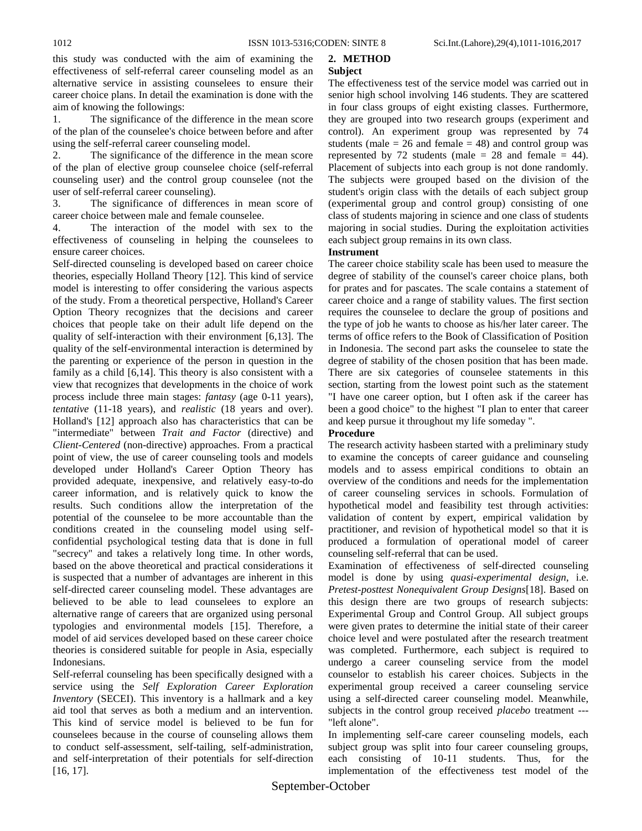this study was conducted with the aim of examining the effectiveness of self-referral career counseling model as an alternative service in assisting counselees to ensure their career choice plans. In detail the examination is done with the aim of knowing the followings:

1. The significance of the difference in the mean score of the plan of the counselee's choice between before and after using the self-referral career counseling model.

2. The significance of the difference in the mean score of the plan of elective group counselee choice (self-referral counseling user) and the control group counselee (not the user of self-referral career counseling).

3. The significance of differences in mean score of career choice between male and female counselee.

4. The interaction of the model with sex to the effectiveness of counseling in helping the counselees to ensure career choices.

Self-directed counseling is developed based on career choice theories, especially Holland Theory [12]. This kind of service model is interesting to offer considering the various aspects of the study. From a theoretical perspective, Holland's Career Option Theory recognizes that the decisions and career choices that people take on their adult life depend on the quality of self-interaction with their environment [6,13]. The quality of the self-environmental interaction is determined by the parenting or experience of the person in question in the family as a child [6,14]. This theory is also consistent with a view that recognizes that developments in the choice of work process include three main stages: *fantasy* (age 0-11 years), *tentative* (11-18 years), and *realistic* (18 years and over). Holland's [12] approach also has characteristics that can be "intermediate" between *Trait and Factor* (directive) and *Client-Centered* (non-directive) approaches. From a practical point of view, the use of career counseling tools and models developed under Holland's Career Option Theory has provided adequate, inexpensive, and relatively easy-to-do career information, and is relatively quick to know the results. Such conditions allow the interpretation of the potential of the counselee to be more accountable than the conditions created in the counseling model using selfconfidential psychological testing data that is done in full "secrecy" and takes a relatively long time. In other words, based on the above theoretical and practical considerations it is suspected that a number of advantages are inherent in this self-directed career counseling model. These advantages are believed to be able to lead counselees to explore an alternative range of careers that are organized using personal typologies and environmental models [15]. Therefore, a model of aid services developed based on these career choice theories is considered suitable for people in Asia, especially Indonesians.

Self-referral counseling has been specifically designed with a service using the *Self Exploration Career Exploration Inventory* (SECEI). This inventory is a hallmark and a key aid tool that serves as both a medium and an intervention. This kind of service model is believed to be fun for counselees because in the course of counseling allows them to conduct self-assessment, self-tailing, self-administration, and self-interpretation of their potentials for self-direction [16, 17].

#### **2. METHOD Subject**

The effectiveness test of the service model was carried out in senior high school involving 146 students. They are scattered in four class groups of eight existing classes. Furthermore, they are grouped into two research groups (experiment and control). An experiment group was represented by 74 students (male  $= 26$  and female  $= 48$ ) and control group was represented by 72 students (male  $= 28$  and female  $= 44$ ). Placement of subjects into each group is not done randomly. The subjects were grouped based on the division of the student's origin class with the details of each subject group (experimental group and control group) consisting of one class of students majoring in science and one class of students majoring in social studies. During the exploitation activities each subject group remains in its own class.

## **Instrument**

The career choice stability scale has been used to measure the degree of stability of the counsel's career choice plans, both for prates and for pascates. The scale contains a statement of career choice and a range of stability values. The first section requires the counselee to declare the group of positions and the type of job he wants to choose as his/her later career. The terms of office refers to the Book of Classification of Position in Indonesia. The second part asks the counselee to state the degree of stability of the chosen position that has been made. There are six categories of counselee statements in this section, starting from the lowest point such as the statement "I have one career option, but I often ask if the career has been a good choice" to the highest "I plan to enter that career and keep pursue it throughout my life someday ".

### **Procedure**

The research activity hasbeen started with a preliminary study to examine the concepts of career guidance and counseling models and to assess empirical conditions to obtain an overview of the conditions and needs for the implementation of career counseling services in schools. Formulation of hypothetical model and feasibility test through activities: validation of content by expert, empirical validation by practitioner, and revision of hypothetical model so that it is produced a formulation of operational model of career counseling self-referral that can be used.

Examination of effectiveness of self-directed counseling model is done by using *quasi-experimental design*, i.e. *Pretest-posttest Nonequivalent Group Designs*[18]. Based on this design there are two groups of research subjects: Experimental Group and Control Group. All subject groups were given prates to determine the initial state of their career choice level and were postulated after the research treatment was completed. Furthermore, each subject is required to undergo a career counseling service from the model counselor to establish his career choices. Subjects in the experimental group received a career counseling service using a self-directed career counseling model. Meanwhile, subjects in the control group received *placebo* treatment --- "left alone".

In implementing self-care career counseling models, each subject group was split into four career counseling groups, each consisting of 10-11 students. Thus, for the implementation of the effectiveness test model of the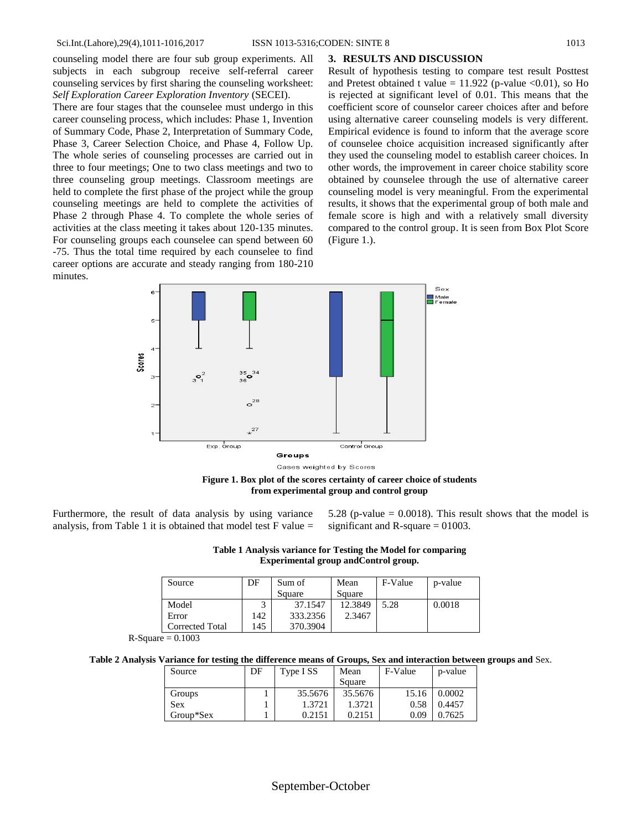counseling model there are four sub group experiments. All subjects in each subgroup receive self-referral career counseling services by first sharing the counseling worksheet: *Self Exploration Career Exploration Inventory* (SECEI).

There are four stages that the counselee must undergo in this career counseling process, which includes: Phase 1, Invention of Summary Code, Phase 2, Interpretation of Summary Code, Phase 3, Career Selection Choice, and Phase 4, Follow Up. The whole series of counseling processes are carried out in three to four meetings; One to two class meetings and two to three counseling group meetings. Classroom meetings are held to complete the first phase of the project while the group counseling meetings are held to complete the activities of Phase 2 through Phase 4. To complete the whole series of activities at the class meeting it takes about 120-135 minutes. For counseling groups each counselee can spend between 60 -75. Thus the total time required by each counselee to find career options are accurate and steady ranging from 180-210 minutes.

### **3. RESULTS AND DISCUSSION**

Result of hypothesis testing to compare test result Posttest and Pretest obtained t value =  $11.922$  (p-value <0.01), so Ho is rejected at significant level of 0.01. This means that the coefficient score of counselor career choices after and before using alternative career counseling models is very different. Empirical evidence is found to inform that the average score of counselee choice acquisition increased significantly after they used the counseling model to establish career choices. In other words, the improvement in career choice stability score obtained by counselee through the use of alternative career counseling model is very meaningful. From the experimental results, it shows that the experimental group of both male and female score is high and with a relatively small diversity compared to the control group. It is seen from Box Plot Score (Figure 1.).



**Figure 1. Box plot of the scores certainty of career choice of students from experimental group and control group**

Furthermore, the result of data analysis by using variance analysis, from Table 1 it is obtained that model test  $F$  value  $=$  5.28 (p-value  $= 0.0018$ ). This result shows that the model is significant and R-square  $= 01003$ .

| Table 1 Analysis variance for Testing the Model for comparing |  |
|---------------------------------------------------------------|--|
| Experimental group and Control group.                         |  |

| Source          | DF  | Sum of   | Mean    | F-Value | p-value |
|-----------------|-----|----------|---------|---------|---------|
|                 |     | Square   | Square  |         |         |
| Model           |     | 37.1547  | 12.3849 | 5.28    | 0.0018  |
| Error           | 142 | 333.2356 | 2.3467  |         |         |
| Corrected Total | 145 | 370.3904 |         |         |         |

 $R-Square = 0.1003$ 

**Table 2 Analysis Variance for testing the difference means of Groups, Sex and interaction between groups and** Sex.

| Source     | DF | Type I SS | Mean    | F-Value | p-value |
|------------|----|-----------|---------|---------|---------|
|            |    |           | Square  |         |         |
| Groups     |    | 35.5676   | 35.5676 | 15.16   | 0.0002  |
| <b>Sex</b> |    | 1.3721    | 1.3721  | 0.58    | 0.4457  |
| Group*Sex  |    | 0.2151    | 0.2151  | 0.09    | 0.7625  |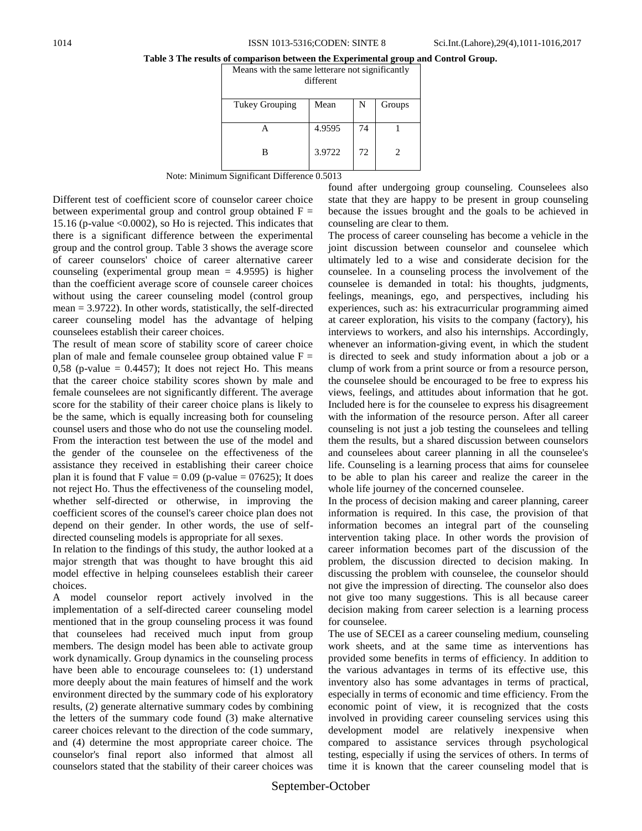# **Table 3 The results of comparison between the Experimental group and Control Group.**

Means with the same letterare not significantly different Tukey Grouping | Mean | N | Groups A B 4.9595 3.9722 74 72 1 2

Note: Minimum Significant Difference 0.5013

Different test of coefficient score of counselor career choice between experimental group and control group obtained  $F =$ 15.16 (p-value <0.0002), so Ho is rejected. This indicates that there is a significant difference between the experimental group and the control group. Table 3 shows the average score of career counselors' choice of career alternative career counseling (experimental group mean  $= 4.9595$ ) is higher than the coefficient average score of counsele career choices without using the career counseling model (control group mean = 3.9722). In other words, statistically, the self-directed career counseling model has the advantage of helping counselees establish their career choices.

The result of mean score of stability score of career choice plan of male and female counselee group obtained value  $F =$ 0,58 (p-value  $= 0.4457$ ); It does not reject Ho. This means that the career choice stability scores shown by male and female counselees are not significantly different. The average score for the stability of their career choice plans is likely to be the same, which is equally increasing both for counseling counsel users and those who do not use the counseling model. From the interaction test between the use of the model and the gender of the counselee on the effectiveness of the assistance they received in establishing their career choice plan it is found that F value =  $0.09$  (p-value =  $07625$ ); It does not reject Ho. Thus the effectiveness of the counseling model, whether self-directed or otherwise, in improving the coefficient scores of the counsel's career choice plan does not depend on their gender. In other words, the use of selfdirected counseling models is appropriate for all sexes.

In relation to the findings of this study, the author looked at a major strength that was thought to have brought this aid model effective in helping counselees establish their career choices.

A model counselor report actively involved in the implementation of a self-directed career counseling model mentioned that in the group counseling process it was found that counselees had received much input from group members. The design model has been able to activate group work dynamically. Group dynamics in the counseling process have been able to encourage counselees to: (1) understand more deeply about the main features of himself and the work environment directed by the summary code of his exploratory results, (2) generate alternative summary codes by combining the letters of the summary code found (3) make alternative career choices relevant to the direction of the code summary, and (4) determine the most appropriate career choice. The counselor's final report also informed that almost all counselors stated that the stability of their career choices was

found after undergoing group counseling. Counselees also state that they are happy to be present in group counseling because the issues brought and the goals to be achieved in counseling are clear to them.

The process of career counseling has become a vehicle in the joint discussion between counselor and counselee which ultimately led to a wise and considerate decision for the counselee. In a counseling process the involvement of the counselee is demanded in total: his thoughts, judgments, feelings, meanings, ego, and perspectives, including his experiences, such as: his extracurricular programming aimed at career exploration, his visits to the company (factory), his interviews to workers, and also his internships. Accordingly, whenever an information-giving event, in which the student is directed to seek and study information about a job or a clump of work from a print source or from a resource person, the counselee should be encouraged to be free to express his views, feelings, and attitudes about information that he got. Included here is for the counselee to express his disagreement with the information of the resource person. After all career counseling is not just a job testing the counselees and telling them the results, but a shared discussion between counselors and counselees about career planning in all the counselee's life. Counseling is a learning process that aims for counselee to be able to plan his career and realize the career in the whole life journey of the concerned counselee.

In the process of decision making and career planning, career information is required. In this case, the provision of that information becomes an integral part of the counseling intervention taking place. In other words the provision of career information becomes part of the discussion of the problem, the discussion directed to decision making. In discussing the problem with counselee, the counselor should not give the impression of directing. The counselor also does not give too many suggestions. This is all because career decision making from career selection is a learning process for counselee.

The use of SECEI as a career counseling medium, counseling work sheets, and at the same time as interventions has provided some benefits in terms of efficiency. In addition to the various advantages in terms of its effective use, this inventory also has some advantages in terms of practical, especially in terms of economic and time efficiency. From the economic point of view, it is recognized that the costs involved in providing career counseling services using this development model are relatively inexpensive when compared to assistance services through psychological testing, especially if using the services of others. In terms of time it is known that the career counseling model that is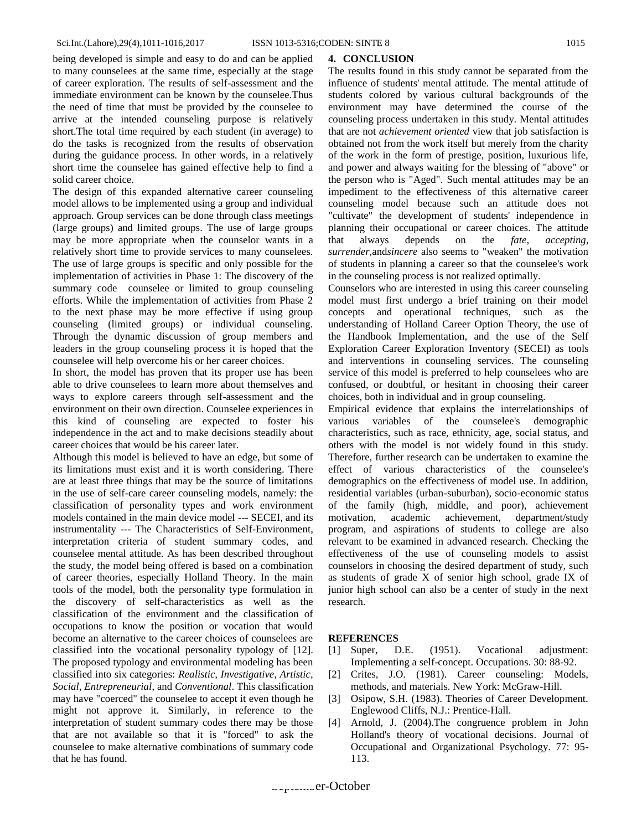being developed is simple and easy to do and can be applied to many counselees at the same time, especially at the stage of career exploration. The results of self-assessment and the immediate environment can be known by the counselee.Thus the need of time that must be provided by the counselee to arrive at the intended counseling purpose is relatively short.The total time required by each student (in average) to do the tasks is recognized from the results of observation during the guidance process. In other words, in a relatively short time the counselee has gained effective help to find a solid career choice.

The design of this expanded alternative career counseling model allows to be implemented using a group and individual approach. Group services can be done through class meetings (large groups) and limited groups. The use of large groups may be more appropriate when the counselor wants in a relatively short time to provide services to many counselees. The use of large groups is specific and only possible for the implementation of activities in Phase 1: The discovery of the summary code counselee or limited to group counseling efforts. While the implementation of activities from Phase 2 to the next phase may be more effective if using group counseling (limited groups) or individual counseling. Through the dynamic discussion of group members and leaders in the group counseling process it is hoped that the counselee will help overcome his or her career choices.

In short, the model has proven that its proper use has been able to drive counselees to learn more about themselves and ways to explore careers through self-assessment and the environment on their own direction. Counselee experiences in this kind of counseling are expected to foster his independence in the act and to make decisions steadily about career choices that would be his career later.

Although this model is believed to have an edge, but some of its limitations must exist and it is worth considering. There are at least three things that may be the source of limitations in the use of self-care career counseling models, namely: the classification of personality types and work environment models contained in the main device model --- SECEI, and its instrumentality --- The Characteristics of Self-Environment, interpretation criteria of student summary codes, and counselee mental attitude. As has been described throughout the study, the model being offered is based on a combination of career theories, especially Holland Theory. In the main tools of the model, both the personality type formulation in the discovery of self-characteristics as well as the classification of the environment and the classification of occupations to know the position or vocation that would become an alternative to the career choices of counselees are classified into the vocational personality typology of [12]. The proposed typology and environmental modeling has been classified into six categories: *Realistic, Investigative, Artistic, Social, Entrepreneurial*, and *Conventional*. This classification may have "coerced" the counselee to accept it even though he might not approve it. Similarly, in reference to the interpretation of student summary codes there may be those that are not available so that it is "forced" to ask the counselee to make alternative combinations of summary code that he has found.

#### **4. CONCLUSION**

The results found in this study cannot be separated from the influence of students' mental attitude. The mental attitude of students colored by various cultural backgrounds of the environment may have determined the course of the counseling process undertaken in this study. Mental attitudes that are not *achievement oriented* view that job satisfaction is obtained not from the work itself but merely from the charity of the work in the form of prestige, position, luxurious life, and power and always waiting for the blessing of "above" or the person who is "Aged". Such mental attitudes may be an impediment to the effectiveness of this alternative career counseling model because such an attitude does not "cultivate" the development of students' independence in planning their occupational or career choices. The attitude that always depends on the *fate, accepting, surrender,*and*sincere* also seems to "weaken" the motivation of students in planning a career so that the counselee's work in the counseling process is not realized optimally.

Counselors who are interested in using this career counseling model must first undergo a brief training on their model concepts and operational techniques, such as the understanding of Holland Career Option Theory, the use of the Handbook Implementation, and the use of the Self Exploration Career Exploration Inventory (SECEI) as tools and interventions in counseling services. The counseling service of this model is preferred to help counselees who are confused, or doubtful, or hesitant in choosing their career choices, both in individual and in group counseling.

Empirical evidence that explains the interrelationships of various variables of the counselee's demographic characteristics, such as race, ethnicity, age, social status, and others with the model is not widely found in this study. Therefore, further research can be undertaken to examine the effect of various characteristics of the counselee's demographics on the effectiveness of model use. In addition, residential variables (urban-suburban), socio-economic status of the family (high, middle, and poor), achievement motivation, academic achievement, department/study program, and aspirations of students to college are also relevant to be examined in advanced research. Checking the effectiveness of the use of counseling models to assist counselors in choosing the desired department of study, such as students of grade X of senior high school, grade IX of junior high school can also be a center of study in the next research.

## **REFERENCES**

- [1] Super, D.E. (1951). Vocational adjustment: Implementing a self-concept. Occupations. 30: 88-92.
- [2] Crites, J.O. (1981). Career counseling: Models, methods, and materials. New York: McGraw-Hill.
- [3] Osipow, S.H. (1983). Theories of Career Development. Englewood Cliffs, N.J.: Prentice-Hall.
- [4] Arnold, J. (2004).The congruence problem in John Holland's theory of vocational decisions. Journal of Occupational and Organizational Psychology. 77: 95- 113.